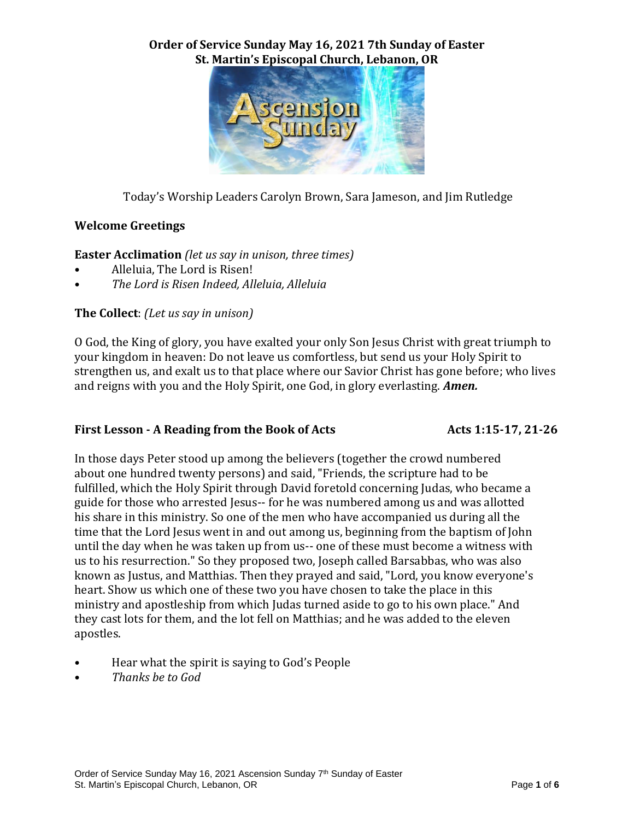# **Order of Service Sunday May 16, 2021 7th Sunday of Easter St. Martin's Episcopal Church, Lebanon, OR**



Today's Worship Leaders Carolyn Brown, Sara Jameson, and Jim Rutledge

# **Welcome Greetings**

**Easter Acclimation** *(let us say in unison, three times)*

- Alleluia, The Lord is Risen!
- *The Lord is Risen Indeed, Alleluia, Alleluia*

# **The Collect**: *(Let us say in unison)*

O God, the King of glory, you have exalted your only Son Jesus Christ with great triumph to your kingdom in heaven: Do not leave us comfortless, but send us your Holy Spirit to strengthen us, and exalt us to that place where our Savior Christ has gone before; who lives and reigns with you and the Holy Spirit, one God, in glory everlasting. *Amen.*

### First Lesson - A Reading from the Book of Acts **Acts** 1:15-17, 21-26

In those days Peter stood up among the believers (together the crowd numbered about one hundred twenty persons) and said, "Friends, the scripture had to be fulfilled, which the Holy Spirit through David foretold concerning Judas, who became a guide for those who arrested Jesus-- for he was numbered among us and was allotted his share in this ministry. So one of the men who have accompanied us during all the time that the Lord Jesus went in and out among us, beginning from the baptism of John until the day when he was taken up from us-- one of these must become a witness with us to his resurrection." So they proposed two, Joseph called Barsabbas, who was also known as Justus, and Matthias. Then they prayed and said, "Lord, you know everyone's heart. Show us which one of these two you have chosen to take the place in this ministry and apostleship from which Judas turned aside to go to his own place." And they cast lots for them, and the lot fell on Matthias; and he was added to the eleven apostles.

- Hear what the spirit is saying to God's People
- *Thanks be to God*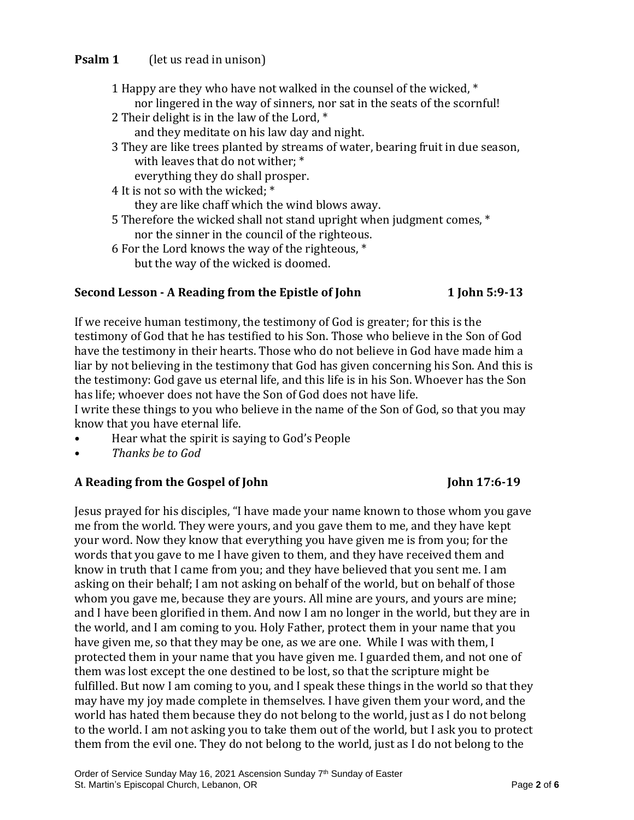# **Psalm 1** (let us read in unison)

1 Happy are they who have not walked in the counsel of the wicked, \* nor lingered in the way of sinners, nor sat in the seats of the scornful! 2 Their delight is in the law of the Lord, \* and they meditate on his law day and night.

3 They are like trees planted by streams of water, bearing fruit in due season, with leaves that do not wither; \*

everything they do shall prosper.

4 It is not so with the wicked; \*

they are like chaff which the wind blows away.

- 5 Therefore the wicked shall not stand upright when judgment comes, \* nor the sinner in the council of the righteous.
- 6 For the Lord knows the way of the righteous, \*

but the way of the wicked is doomed.

# **Second Lesson - A Reading from the Epistle of John 1 John 5:9-13**

If we receive human testimony, the testimony of God is greater; for this is the testimony of God that he has testified to his Son. Those who believe in the Son of God have the testimony in their hearts. Those who do not believe in God have made him a liar by not believing in the testimony that God has given concerning his Son. And this is the testimony: God gave us eternal life, and this life is in his Son. Whoever has the Son has life; whoever does not have the Son of God does not have life.

I write these things to you who believe in the name of the Son of God, so that you may know that you have eternal life.

- Hear what the spirit is saying to God's People
- *Thanks be to God*

# **A Reading from the Gospel of John John 17:6-19**

### Jesus prayed for his disciples, "I have made your name known to those whom you gave me from the world. They were yours, and you gave them to me, and they have kept your word. Now they know that everything you have given me is from you; for the words that you gave to me I have given to them, and they have received them and know in truth that I came from you; and they have believed that you sent me. I am asking on their behalf; I am not asking on behalf of the world, but on behalf of those whom you gave me, because they are yours. All mine are yours, and yours are mine; and I have been glorified in them. And now I am no longer in the world, but they are in the world, and I am coming to you. Holy Father, protect them in your name that you have given me, so that they may be one, as we are one. While I was with them, I protected them in your name that you have given me. I guarded them, and not one of them was lost except the one destined to be lost, so that the scripture might be fulfilled. But now I am coming to you, and I speak these things in the world so that they may have my joy made complete in themselves. I have given them your word, and the world has hated them because they do not belong to the world, just as I do not belong to the world. I am not asking you to take them out of the world, but I ask you to protect them from the evil one. They do not belong to the world, just as I do not belong to the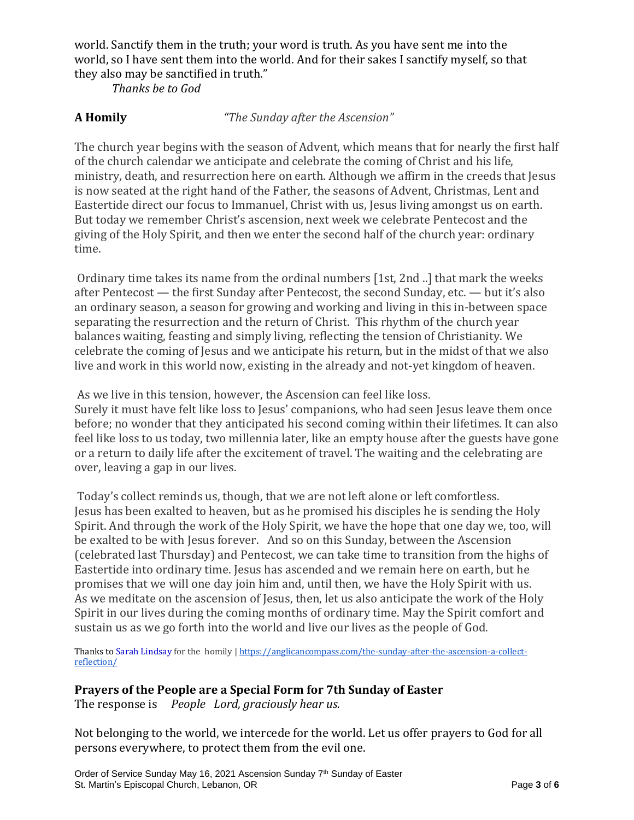world. Sanctify them in the truth; your word is truth. As you have sent me into the world, so I have sent them into the world. And for their sakes I sanctify myself, so that they also may be sanctified in truth."

*Thanks be to God*

**A Homily** *"The Sunday after the Ascension"*

The church year begins with the season of Advent, which means that for nearly the first half of the church calendar we anticipate and celebrate the coming of Christ and his life, ministry, death, and resurrection here on earth. Although we affirm in the creeds that Jesus is now seated at the right hand of the Father, the seasons of Advent, Christmas, Lent and Eastertide direct our focus to Immanuel, Christ with us, Jesus living amongst us on earth. But today we remember Christ's ascension, next week we celebrate Pentecost and the giving of the Holy Spirit, and then we enter the second half of the church year: ordinary time.

Ordinary time takes its name from the ordinal numbers [1st, 2nd ..] that mark the weeks after Pentecost — the first Sunday after Pentecost, the second Sunday, etc. — but it's also an ordinary season, a season for growing and working and living in this in-between space separating the resurrection and the return of Christ. This rhythm of the church year balances waiting, feasting and simply living, reflecting the tension of Christianity. We celebrate the coming of Jesus and we anticipate his return, but in the midst of that we also live and work in this world now, existing in the already and not-yet kingdom of heaven.

As we live in this tension, however, the Ascension can feel like loss. Surely it must have felt like loss to Jesus' companions, who had seen Jesus leave them once before; no wonder that they anticipated his second coming within their lifetimes. It can also feel like loss to us today, two millennia later, like an empty house after the guests have gone or a return to daily life after the excitement of travel. The waiting and the celebrating are over, leaving a gap in our lives.

Today's collect reminds us, though, that we are not left alone or left comfortless. Jesus has been exalted to heaven, but as he promised his disciples he is sending the Holy Spirit. And through the work of the Holy Spirit, we have the hope that one day we, too, will be exalted to be with Jesus forever. And so on this Sunday, between the Ascension (celebrated last Thursday) and Pentecost, we can take time to transition from the highs of Eastertide into ordinary time. Jesus has ascended and we remain here on earth, but he promises that we will one day join him and, until then, we have the Holy Spirit with us. As we meditate on the ascension of Jesus, then, let us also anticipate the work of the Holy Spirit in our lives during the coming months of ordinary time. May the Spirit comfort and sustain us as we go forth into the world and live our lives as the people of God.

Thanks t[o Sarah Lindsay](https://anglicancompass.com/author/sarahlindsay/) for the homily [| https://anglicancompass.com/the-sunday-after-the-ascension-a-collect](https://anglicancompass.com/the-sunday-after-the-ascension-a-collect-reflection/)[reflection/](https://anglicancompass.com/the-sunday-after-the-ascension-a-collect-reflection/)

# **Prayers of the People are a Special Form for 7th Sunday of Easter**

The response is *People Lord, graciously hear us.*

Not belonging to the world, we intercede for the world. Let us offer prayers to God for all persons everywhere, to protect them from the evil one.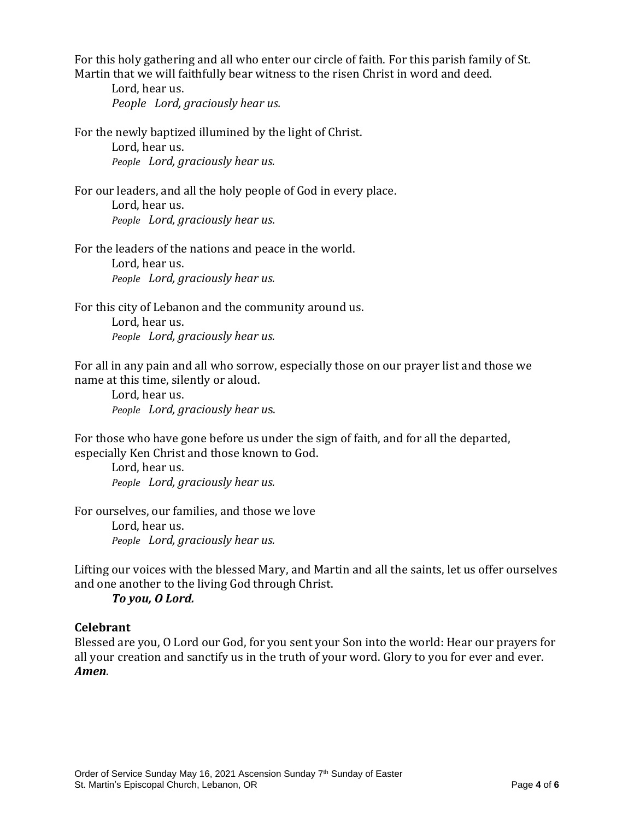For this holy gathering and all who enter our circle of faith. For this parish family of St. Martin that we will faithfully bear witness to the risen Christ in word and deed.

Lord, hear us. *People Lord, graciously hear us.*

For the newly baptized illumined by the light of Christ. Lord, hear us. *People Lord, graciously hear us.*

For our leaders, and all the holy people of God in every place. Lord, hear us. *People Lord, graciously hear us*.

For the leaders of the nations and peace in the world. Lord, hear us. *People Lord, graciously hear us.*

For this city of Lebanon and the community around us. Lord, hear us. *People Lord, graciously hear us.*

For all in any pain and all who sorrow, especially those on our prayer list and those we name at this time, silently or aloud.

Lord, hear us. *People Lord, graciously hear u*s.

For those who have gone before us under the sign of faith, and for all the departed, especially Ken Christ and those known to God.

Lord, hear us. *People Lord, graciously hear us.*

For ourselves, our families, and those we love Lord, hear us. *People Lord, graciously hear us.*

Lifting our voices with the blessed Mary, and Martin and all the saints, let us offer ourselves and one another to the living God through Christ.

*To you, O Lord.*

### **Celebrant**

Blessed are you, O Lord our God, for you sent your Son into the world: Hear our prayers for all your creation and sanctify us in the truth of your word. Glory to you for ever and ever. *Amen.*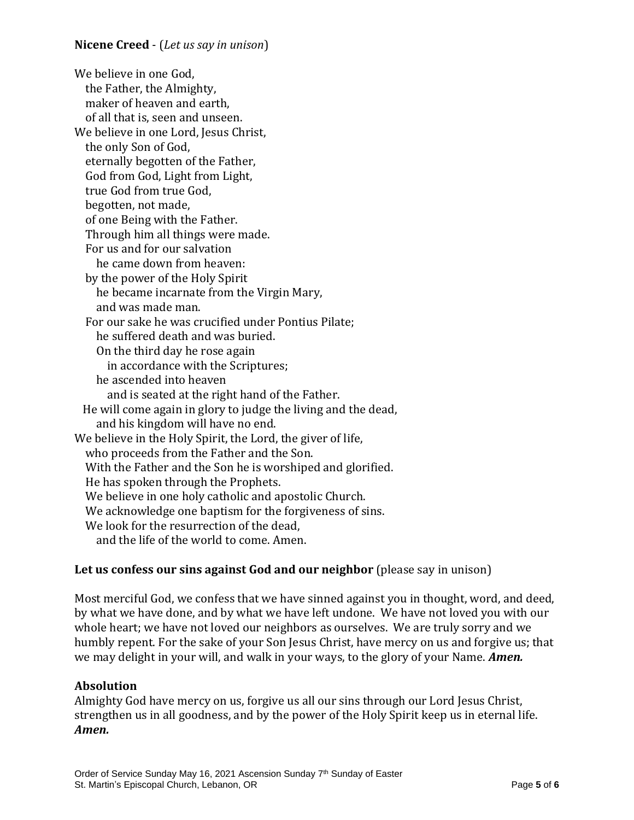We believe in one God, the Father, the Almighty, maker of heaven and earth, of all that is, seen and unseen. We believe in one Lord, Jesus Christ, the only Son of God, eternally begotten of the Father, God from God, Light from Light, true God from true God, begotten, not made, of one Being with the Father. Through him all things were made. For us and for our salvation he came down from heaven: by the power of the Holy Spirit he became incarnate from the Virgin Mary, and was made man. For our sake he was crucified under Pontius Pilate; he suffered death and was buried. On the third day he rose again in accordance with the Scriptures; he ascended into heaven and is seated at the right hand of the Father. He will come again in glory to judge the living and the dead, and his kingdom will have no end. We believe in the Holy Spirit, the Lord, the giver of life, who proceeds from the Father and the Son. With the Father and the Son he is worshiped and glorified. He has spoken through the Prophets. We believe in one holy catholic and apostolic Church. We acknowledge one baptism for the forgiveness of sins. We look for the resurrection of the dead. and the life of the world to come. Amen.

### **Let us confess our sins against God and our neighbor** (please say in unison)

Most merciful God, we confess that we have sinned against you in thought, word, and deed, by what we have done, and by what we have left undone. We have not loved you with our whole heart; we have not loved our neighbors as ourselves. We are truly sorry and we humbly repent. For the sake of your Son Jesus Christ, have mercy on us and forgive us; that we may delight in your will, and walk in your ways, to the glory of your Name. *Amen.*

### **Absolution**

Almighty God have mercy on us, forgive us all our sins through our Lord Jesus Christ, strengthen us in all goodness, and by the power of the Holy Spirit keep us in eternal life. *Amen.*